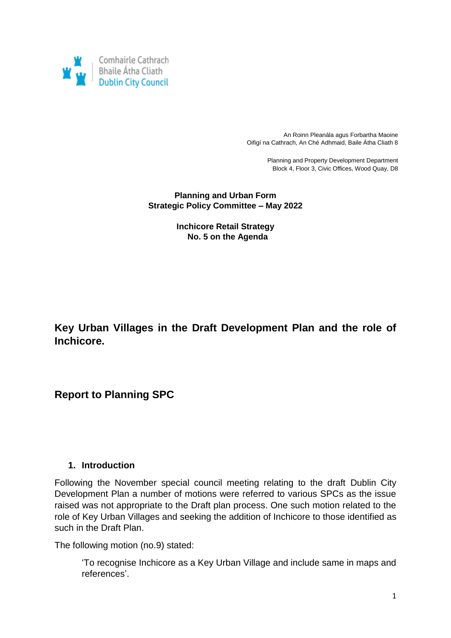

An Roinn Pleanála agus Forbartha Maoine Oifigí na Cathrach, An Ché Adhmaid, Baile Átha Cliath 8

> Planning and Property Development Department Block 4, Floor 3, Civic Offices, Wood Quay, D8

#### **Planning and Urban Form Strategic Policy Committee – May 2022**

**Inchicore Retail Strategy No. 5 on the Agenda**

**Key Urban Villages in the Draft Development Plan and the role of Inchicore.**

**Report to Planning SPC**

### **1. Introduction**

Following the November special council meeting relating to the draft Dublin City Development Plan a number of motions were referred to various SPCs as the issue raised was not appropriate to the Draft plan process. One such motion related to the role of Key Urban Villages and seeking the addition of Inchicore to those identified as such in the Draft Plan.

The following motion (no.9) stated:

'To recognise Inchicore as a Key Urban Village and include same in maps and references'.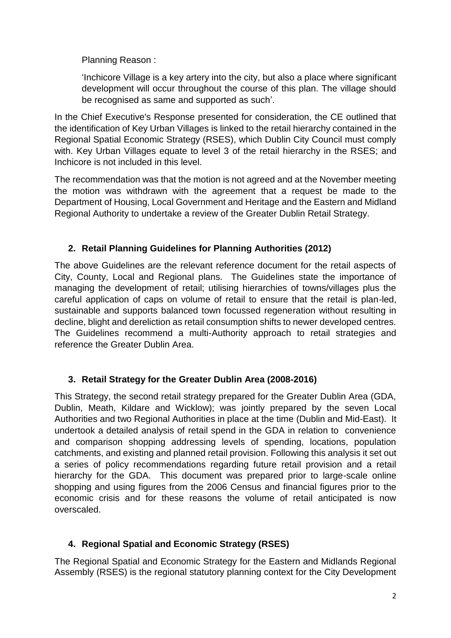Planning Reason :

'Inchicore Village is a key artery into the city, but also a place where significant development will occur throughout the course of this plan. The village should be recognised as same and supported as such'.

In the Chief Executive's Response presented for consideration, the CE outlined that the identification of Key Urban Villages is linked to the retail hierarchy contained in the Regional Spatial Economic Strategy (RSES), which Dublin City Council must comply with. Key Urban Villages equate to level 3 of the retail hierarchy in the RSES; and Inchicore is not included in this level.

The recommendation was that the motion is not agreed and at the November meeting the motion was withdrawn with the agreement that a request be made to the Department of Housing, Local Government and Heritage and the Eastern and Midland Regional Authority to undertake a review of the Greater Dublin Retail Strategy.

# **2. Retail Planning Guidelines for Planning Authorities (2012)**

The above Guidelines are the relevant reference document for the retail aspects of City, County, Local and Regional plans. The Guidelines state the importance of managing the development of retail; utilising hierarchies of towns/villages plus the careful application of caps on volume of retail to ensure that the retail is plan-led, sustainable and supports balanced town focussed regeneration without resulting in decline, blight and dereliction as retail consumption shifts to newer developed centres. The Guidelines recommend a multi-Authority approach to retail strategies and reference the Greater Dublin Area.

### **3. Retail Strategy for the Greater Dublin Area (2008-2016)**

This Strategy, the second retail strategy prepared for the Greater Dublin Area (GDA, Dublin, Meath, Kildare and Wicklow); was jointly prepared by the seven Local Authorities and two Regional Authorities in place at the time (Dublin and Mid-East). It undertook a detailed analysis of retail spend in the GDA in relation to convenience and comparison shopping addressing levels of spending, locations, population catchments, and existing and planned retail provision. Following this analysis it set out a series of policy recommendations regarding future retail provision and a retail hierarchy for the GDA. This document was prepared prior to large-scale online shopping and using figures from the 2006 Census and financial figures prior to the economic crisis and for these reasons the volume of retail anticipated is now overscaled.

# **4. Regional Spatial and Economic Strategy (RSES)**

The Regional Spatial and Economic Strategy for the Eastern and Midlands Regional Assembly (RSES) is the regional statutory planning context for the City Development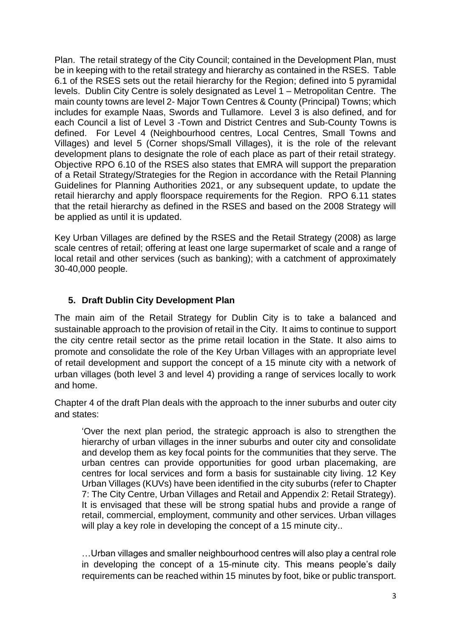Plan. The retail strategy of the City Council; contained in the Development Plan, must be in keeping with to the retail strategy and hierarchy as contained in the RSES. Table 6.1 of the RSES sets out the retail hierarchy for the Region; defined into 5 pyramidal levels. Dublin City Centre is solely designated as Level 1 – Metropolitan Centre. The main county towns are level 2- Major Town Centres & County (Principal) Towns; which includes for example Naas, Swords and Tullamore. Level 3 is also defined, and for each Council a list of Level 3 -Town and District Centres and Sub-County Towns is defined. For Level 4 (Neighbourhood centres, Local Centres, Small Towns and Villages) and level 5 (Corner shops/Small Villages), it is the role of the relevant development plans to designate the role of each place as part of their retail strategy. Objective RPO 6.10 of the RSES also states that EMRA will support the preparation of a Retail Strategy/Strategies for the Region in accordance with the Retail Planning Guidelines for Planning Authorities 2021, or any subsequent update, to update the retail hierarchy and apply floorspace requirements for the Region. RPO 6.11 states that the retail hierarchy as defined in the RSES and based on the 2008 Strategy will be applied as until it is updated.

Key Urban Villages are defined by the RSES and the Retail Strategy (2008) as large scale centres of retail; offering at least one large supermarket of scale and a range of local retail and other services (such as banking); with a catchment of approximately 30-40,000 people.

### **5. Draft Dublin City Development Plan**

The main aim of the Retail Strategy for Dublin City is to take a balanced and sustainable approach to the provision of retail in the City. It aims to continue to support the city centre retail sector as the prime retail location in the State. It also aims to promote and consolidate the role of the Key Urban Villages with an appropriate level of retail development and support the concept of a 15 minute city with a network of urban villages (both level 3 and level 4) providing a range of services locally to work and home.

Chapter 4 of the draft Plan deals with the approach to the inner suburbs and outer city and states:

'Over the next plan period, the strategic approach is also to strengthen the hierarchy of urban villages in the inner suburbs and outer city and consolidate and develop them as key focal points for the communities that they serve. The urban centres can provide opportunities for good urban placemaking, are centres for local services and form a basis for sustainable city living. 12 Key Urban Villages (KUVs) have been identified in the city suburbs (refer to Chapter 7: The City Centre, Urban Villages and Retail and Appendix 2: Retail Strategy). It is envisaged that these will be strong spatial hubs and provide a range of retail, commercial, employment, community and other services. Urban villages will play a key role in developing the concept of a 15 minute city..

…Urban villages and smaller neighbourhood centres will also play a central role in developing the concept of a 15-minute city. This means people's daily requirements can be reached within 15 minutes by foot, bike or public transport.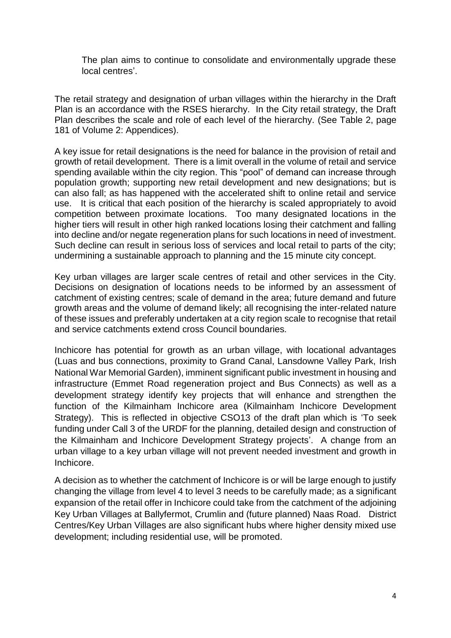The plan aims to continue to consolidate and environmentally upgrade these local centres'.

The retail strategy and designation of urban villages within the hierarchy in the Draft Plan is an accordance with the RSES hierarchy. In the City retail strategy, the Draft Plan describes the scale and role of each level of the hierarchy. (See Table 2, page 181 of Volume 2: Appendices).

A key issue for retail designations is the need for balance in the provision of retail and growth of retail development. There is a limit overall in the volume of retail and service spending available within the city region. This "pool" of demand can increase through population growth; supporting new retail development and new designations; but is can also fall; as has happened with the accelerated shift to online retail and service use. It is critical that each position of the hierarchy is scaled appropriately to avoid competition between proximate locations. Too many designated locations in the higher tiers will result in other high ranked locations losing their catchment and falling into decline and/or negate regeneration plans for such locations in need of investment. Such decline can result in serious loss of services and local retail to parts of the city; undermining a sustainable approach to planning and the 15 minute city concept.

Key urban villages are larger scale centres of retail and other services in the City. Decisions on designation of locations needs to be informed by an assessment of catchment of existing centres; scale of demand in the area; future demand and future growth areas and the volume of demand likely; all recognising the inter-related nature of these issues and preferably undertaken at a city region scale to recognise that retail and service catchments extend cross Council boundaries.

Inchicore has potential for growth as an urban village, with locational advantages (Luas and bus connections, proximity to Grand Canal, Lansdowne Valley Park, Irish National War Memorial Garden), imminent significant public investment in housing and infrastructure (Emmet Road regeneration project and Bus Connects) as well as a development strategy identify key projects that will enhance and strengthen the function of the Kilmainham Inchicore area (Kilmainham Inchicore Development Strategy). This is reflected in objective CSO13 of the draft plan which is 'To seek funding under Call 3 of the URDF for the planning, detailed design and construction of the Kilmainham and Inchicore Development Strategy projects'. A change from an urban village to a key urban village will not prevent needed investment and growth in Inchicore.

A decision as to whether the catchment of Inchicore is or will be large enough to justify changing the village from level 4 to level 3 needs to be carefully made; as a significant expansion of the retail offer in Inchicore could take from the catchment of the adjoining Key Urban Villages at Ballyfermot, Crumlin and (future planned) Naas Road. District Centres/Key Urban Villages are also significant hubs where higher density mixed use development; including residential use, will be promoted.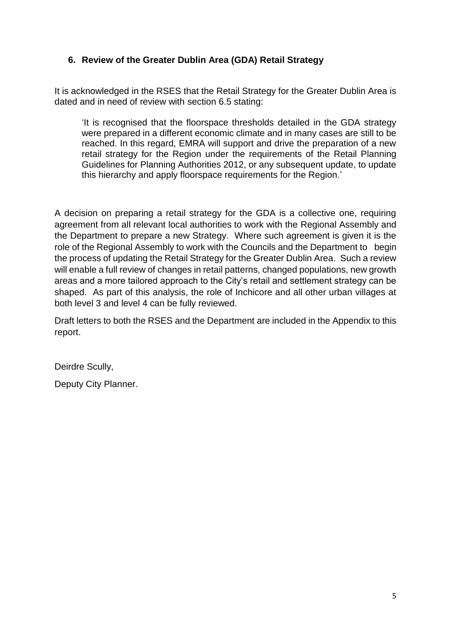### **6. Review of the Greater Dublin Area (GDA) Retail Strategy**

It is acknowledged in the RSES that the Retail Strategy for the Greater Dublin Area is dated and in need of review with section 6.5 stating:

'It is recognised that the floorspace thresholds detailed in the GDA strategy were prepared in a different economic climate and in many cases are still to be reached. In this regard, EMRA will support and drive the preparation of a new retail strategy for the Region under the requirements of the Retail Planning Guidelines for Planning Authorities 2012, or any subsequent update, to update this hierarchy and apply floorspace requirements for the Region.'

A decision on preparing a retail strategy for the GDA is a collective one, requiring agreement from all relevant local authorities to work with the Regional Assembly and the Department to prepare a new Strategy. Where such agreement is given it is the role of the Regional Assembly to work with the Councils and the Department to begin the process of updating the Retail Strategy for the Greater Dublin Area. Such a review will enable a full review of changes in retail patterns, changed populations, new growth areas and a more tailored approach to the City's retail and settlement strategy can be shaped. As part of this analysis, the role of Inchicore and all other urban villages at both level 3 and level 4 can be fully reviewed.

Draft letters to both the RSES and the Department are included in the Appendix to this report.

Deirdre Scully,

Deputy City Planner.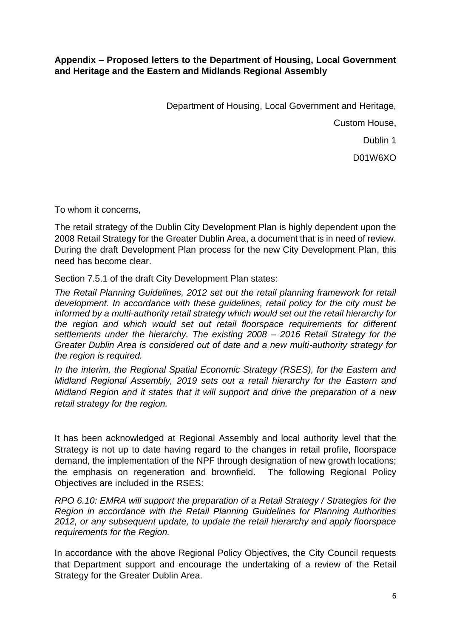**Appendix – Proposed letters to the Department of Housing, Local Government and Heritage and the Eastern and Midlands Regional Assembly**

> Department of Housing, Local Government and Heritage, Custom House, Dublin 1 D01W6XO

To whom it concerns,

The retail strategy of the Dublin City Development Plan is highly dependent upon the 2008 Retail Strategy for the Greater Dublin Area, a document that is in need of review. During the draft Development Plan process for the new City Development Plan, this need has become clear.

Section 7.5.1 of the draft City Development Plan states:

*The Retail Planning Guidelines, 2012 set out the retail planning framework for retail development. In accordance with these guidelines, retail policy for the city must be informed by a multi-authority retail strategy which would set out the retail hierarchy for the region and which would set out retail floorspace requirements for different settlements under the hierarchy. The existing 2008 – 2016 Retail Strategy for the Greater Dublin Area is considered out of date and a new multi-authority strategy for the region is required.* 

*In the interim, the Regional Spatial Economic Strategy (RSES), for the Eastern and Midland Regional Assembly, 2019 sets out a retail hierarchy for the Eastern and Midland Region and it states that it will support and drive the preparation of a new retail strategy for the region.*

It has been acknowledged at Regional Assembly and local authority level that the Strategy is not up to date having regard to the changes in retail profile, floorspace demand, the implementation of the NPF through designation of new growth locations; the emphasis on regeneration and brownfield. The following Regional Policy Objectives are included in the RSES:

*RPO 6.10: EMRA will support the preparation of a Retail Strategy / Strategies for the Region in accordance with the Retail Planning Guidelines for Planning Authorities 2012, or any subsequent update, to update the retail hierarchy and apply floorspace requirements for the Region.*

In accordance with the above Regional Policy Objectives, the City Council requests that Department support and encourage the undertaking of a review of the Retail Strategy for the Greater Dublin Area.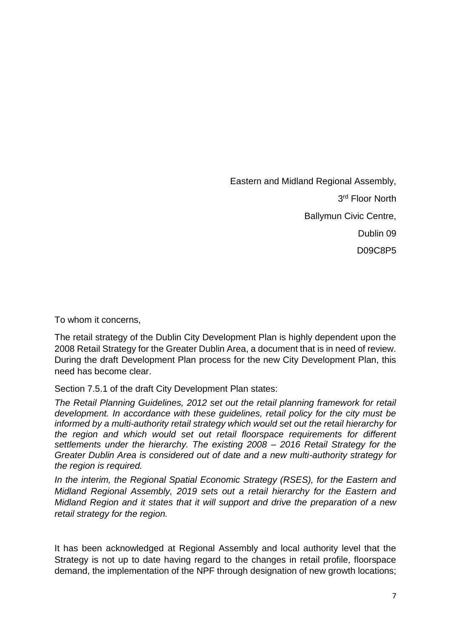Eastern and Midland Regional Assembly, 3 rd Floor North Ballymun Civic Centre, Dublin 09 D09C8P5

To whom it concerns,

The retail strategy of the Dublin City Development Plan is highly dependent upon the 2008 Retail Strategy for the Greater Dublin Area, a document that is in need of review. During the draft Development Plan process for the new City Development Plan, this need has become clear.

Section 7.5.1 of the draft City Development Plan states:

*The Retail Planning Guidelines, 2012 set out the retail planning framework for retail development. In accordance with these guidelines, retail policy for the city must be informed by a multi-authority retail strategy which would set out the retail hierarchy for the region and which would set out retail floorspace requirements for different settlements under the hierarchy. The existing 2008 – 2016 Retail Strategy for the Greater Dublin Area is considered out of date and a new multi-authority strategy for the region is required.* 

*In the interim, the Regional Spatial Economic Strategy (RSES), for the Eastern and Midland Regional Assembly, 2019 sets out a retail hierarchy for the Eastern and Midland Region and it states that it will support and drive the preparation of a new retail strategy for the region.*

It has been acknowledged at Regional Assembly and local authority level that the Strategy is not up to date having regard to the changes in retail profile, floorspace demand, the implementation of the NPF through designation of new growth locations;